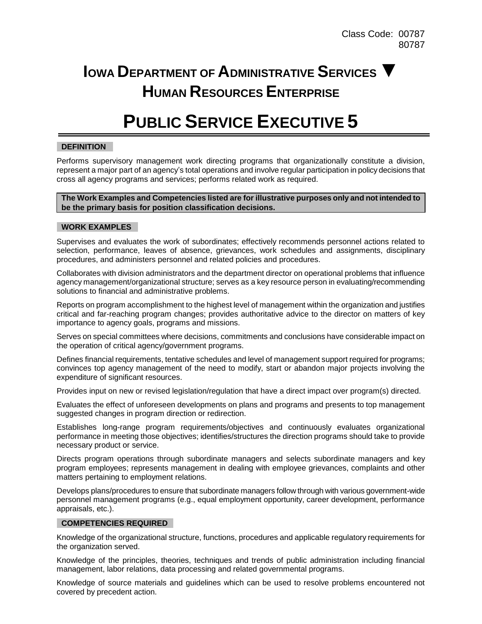# **IOWA DEPARTMENT OF ADMINISTRATIVE SERVICES ▼ HUMAN RESOURCES ENTERPRISE**

# **PUBLIC SERVICE EXECUTIVE 5**

# **DEFINITION**

Performs supervisory management work directing programs that organizationally constitute a division, represent a major part of an agency's total operations and involve regular participation in policy decisions that cross all agency programs and services; performs related work as required.

#### **The Work Examples and Competencies listed are for illustrative purposes only and not intended to be the primary basis for position classification decisions.**

### **WORK EXAMPLES**

Supervises and evaluates the work of subordinates; effectively recommends personnel actions related to selection, performance, leaves of absence, grievances, work schedules and assignments, disciplinary procedures, and administers personnel and related policies and procedures.

Collaborates with division administrators and the department director on operational problems that influence agency management/organizational structure; serves as a key resource person in evaluating/recommending solutions to financial and administrative problems.

Reports on program accomplishment to the highest level of management within the organization and justifies critical and far-reaching program changes; provides authoritative advice to the director on matters of key importance to agency goals, programs and missions.

Serves on special committees where decisions, commitments and conclusions have considerable impact on the operation of critical agency/government programs.

Defines financial requirements, tentative schedules and level of management support required for programs; convinces top agency management of the need to modify, start or abandon major projects involving the expenditure of significant resources.

Provides input on new or revised legislation/regulation that have a direct impact over program(s) directed.

Evaluates the effect of unforeseen developments on plans and programs and presents to top management suggested changes in program direction or redirection.

Establishes long-range program requirements/objectives and continuously evaluates organizational performance in meeting those objectives; identifies/structures the direction programs should take to provide necessary product or service.

Directs program operations through subordinate managers and selects subordinate managers and key program employees; represents management in dealing with employee grievances, complaints and other matters pertaining to employment relations.

Develops plans/procedures to ensure that subordinate managers follow through with various government-wide personnel management programs (e.g., equal employment opportunity, career development, performance appraisals, etc.).

## **COMPETENCIES REQUIRED**

Knowledge of the organizational structure, functions, procedures and applicable regulatory requirements for the organization served.

Knowledge of the principles, theories, techniques and trends of public administration including financial management, labor relations, data processing and related governmental programs.

Knowledge of source materials and guidelines which can be used to resolve problems encountered not covered by precedent action.